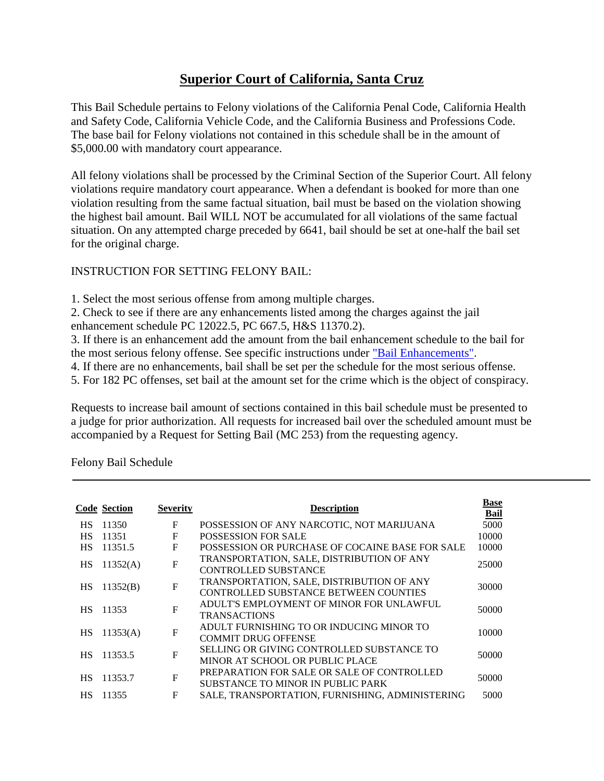## **Superior Court of California, Santa Cruz**

This Bail Schedule pertains to Felony violations of the California Penal Code, California Health and Safety Code, California Vehicle Code, and the California Business and Professions Code. The base bail for Felony violations not contained in this schedule shall be in the amount of \$5,000.00 with mandatory court appearance.

All felony violations shall be processed by the Criminal Section of the Superior Court. All felony violations require mandatory court appearance. When a defendant is booked for more than one violation resulting from the same factual situation, bail must be based on the violation showing the highest bail amount. Bail WILL NOT be accumulated for all violations of the same factual situation. On any attempted charge preceded by 6641, bail should be set at one-half the bail set for the original charge.

## INSTRUCTION FOR SETTING FELONY BAIL:

1. Select the most serious offense from among multiple charges.

2. Check to see if there are any enhancements listed among the charges against the jail enhancement schedule PC 12022.5, PC 667.5, H&S 11370.2).

3. If there is an enhancement add the amount from the bail enhancement schedule to the bail for

the most serious felony offense. See specific instructions under ["Bail Enhancements".](http://10.44.253.10/bailschedule/enhancement.asp)

4. If there are no enhancements, bail shall be set per the schedule for the most serious offense.

5. For 182 PC offenses, set bail at the amount set for the crime which is the object of conspiracy.

Requests to increase bail amount of sections contained in this bail schedule must be presented to a judge for prior authorization. All requests for increased bail over the scheduled amount must be accompanied by a Request for Setting Bail (MC 253) from the requesting agency.

Felony Bail Schedule

|           | <b>Code Section</b> | <b>Severity</b> | <b>Description</b>                                                                 | <b>Base</b><br>Bail |
|-----------|---------------------|-----------------|------------------------------------------------------------------------------------|---------------------|
| <b>HS</b> | 11350               | $\mathbf F$     | POSSESSION OF ANY NARCOTIC, NOT MARIJUANA                                          | 5000                |
| <b>HS</b> | 11351               | $\mathbf{F}$    | <b>POSSESSION FOR SALE</b>                                                         | 10000               |
| <b>HS</b> | 11351.5             | F               | POSSESSION OR PURCHASE OF COCAINE BASE FOR SALE                                    | 10000               |
| <b>HS</b> | 11352(A)            | $\mathbf{F}$    | TRANSPORTATION, SALE, DISTRIBUTION OF ANY<br><b>CONTROLLED SUBSTANCE</b>           | 25000               |
| HS        | 11352(B)            | $\mathbf{F}$    | TRANSPORTATION, SALE, DISTRIBUTION OF ANY<br>CONTROLLED SUBSTANCE BETWEEN COUNTIES | 30000               |
| <b>HS</b> | 11353               | $\mathbf{F}$    | ADULT'S EMPLOYMENT OF MINOR FOR UNLAWFUL<br><b>TRANSACTIONS</b>                    | 50000               |
| HS        | 11353(A)            | $\mathbf{F}$    | ADULT FURNISHING TO OR INDUCING MINOR TO<br><b>COMMIT DRUG OFFENSE</b>             | 10000               |
| <b>HS</b> | 11353.5             | $\mathbf{F}$    | SELLING OR GIVING CONTROLLED SUBSTANCE TO<br>MINOR AT SCHOOL OR PUBLIC PLACE       | 50000               |
| <b>HS</b> | 11353.7             | $\mathbf{F}$    | PREPARATION FOR SALE OR SALE OF CONTROLLED<br>SUBSTANCE TO MINOR IN PUBLIC PARK    | 50000               |
| <b>HS</b> | 11355               | $\mathbf F$     | SALE, TRANSPORTATION, FURNISHING, ADMINISTERING                                    | 5000                |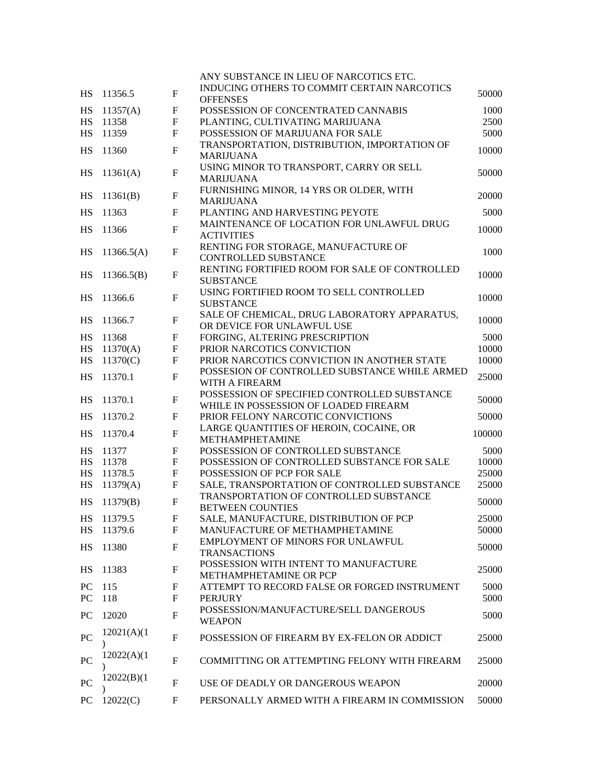|                  |             |                           | ANY SUBSTANCE IN LIEU OF NARCOTICS ETC.                                    |        |
|------------------|-------------|---------------------------|----------------------------------------------------------------------------|--------|
| HS               | 11356.5     | $\mathbf F$               | INDUCING OTHERS TO COMMIT CERTAIN NARCOTICS<br><b>OFFENSES</b>             | 50000  |
| HS               | 11357(A)    | $\boldsymbol{\mathrm{F}}$ | POSSESSION OF CONCENTRATED CANNABIS                                        | 1000   |
| <b>HS</b>        | 11358       | F                         | PLANTING, CULTIVATING MARIJUANA                                            | 2500   |
| HS               | 11359       | $\mathbf{F}$              | POSSESSION OF MARIJUANA FOR SALE                                           | 5000   |
|                  |             |                           | TRANSPORTATION, DISTRIBUTION, IMPORTATION OF                               |        |
| HS               | 11360       | $\mathbf{F}$              | <b>MARIJUANA</b>                                                           | 10000  |
|                  |             |                           | USING MINOR TO TRANSPORT, CARRY OR SELL                                    |        |
| HS               | 11361(A)    | $\mathbf F$               | <b>MARIJUANA</b>                                                           | 50000  |
|                  |             |                           | FURNISHING MINOR, 14 YRS OR OLDER, WITH                                    |        |
| HS               | 11361(B)    | F                         | <b>MARIJUANA</b>                                                           | 20000  |
| <b>HS</b>        | 11363       | F                         | PLANTING AND HARVESTING PEYOTE                                             | 5000   |
|                  |             |                           | MAINTENANCE OF LOCATION FOR UNLAWFUL DRUG                                  |        |
| <b>HS</b>        | 11366       | $\mathbf F$               | <b>ACTIVITIES</b>                                                          | 10000  |
|                  |             |                           | RENTING FOR STORAGE, MANUFACTURE OF                                        |        |
| HS               | 11366.5(A)  | F                         | CONTROLLED SUBSTANCE                                                       | 1000   |
|                  |             |                           | RENTING FORTIFIED ROOM FOR SALE OF CONTROLLED                              |        |
| HS               | 11366.5(B)  | $\mathbf F$               | <b>SUBSTANCE</b>                                                           | 10000  |
|                  |             |                           | USING FORTIFIED ROOM TO SELL CONTROLLED                                    |        |
| <b>HS</b>        | 11366.6     | $\mathbf{F}$              | <b>SUBSTANCE</b>                                                           | 10000  |
|                  |             | $\mathbf F$               | SALE OF CHEMICAL, DRUG LABORATORY APPARATUS,                               | 10000  |
| HS               | 11366.7     |                           | OR DEVICE FOR UNLAWFUL USE                                                 |        |
| HS               | 11368       | F                         | FORGING, ALTERING PRESCRIPTION                                             | 5000   |
| HS               | 11370(A)    | F                         | PRIOR NARCOTICS CONVICTION                                                 | 10000  |
| HS               | 11370(C)    | F                         | PRIOR NARCOTICS CONVICTION IN ANOTHER STATE                                | 10000  |
| HS               | 11370.1     | $\mathbf{F}$              | POSSESION OF CONTROLLED SUBSTANCE WHILE ARMED                              | 25000  |
|                  |             |                           | WITH A FIREARM                                                             |        |
| <b>HS</b>        | 11370.1     | $\mathbf F$               | POSSESSION OF SPECIFIED CONTROLLED SUBSTANCE                               | 50000  |
|                  |             |                           | WHILE IN POSSESSION OF LOADED FIREARM                                      |        |
| HS               | 11370.2     | F                         | PRIOR FELONY NARCOTIC CONVICTIONS                                          | 50000  |
| <b>HS</b>        | 11370.4     | $\mathbf{F}$              | LARGE QUANTITIES OF HEROIN, COCAINE, OR                                    | 100000 |
|                  |             |                           | METHAMPHETAMINE                                                            |        |
| HS               | 11377       | F                         | POSSESSION OF CONTROLLED SUBSTANCE                                         | 5000   |
| HS               | 11378       | $\mathbf F$               | POSSESSION OF CONTROLLED SUBSTANCE FOR SALE                                | 10000  |
| HS               | 11378.5     | $\mathbf F$               | POSSESSION OF PCP FOR SALE<br>SALE, TRANSPORTATION OF CONTROLLED SUBSTANCE | 25000  |
| HS               | 11379(A)    | $\mathbf F$               |                                                                            | 25000  |
| HS               | 11379(B)    | F                         | TRANSPORTATION OF CONTROLLED SUBSTANCE<br><b>BETWEEN COUNTIES</b>          | 50000  |
| HS               | 11379.5     | F                         | SALE, MANUFACTURE, DISTRIBUTION OF PCP                                     | 25000  |
| HS               | 11379.6     | F                         | MANUFACTURE OF METHAMPHETAMINE                                             | 50000  |
|                  |             |                           | EMPLOYMENT OF MINORS FOR UNLAWFUL                                          |        |
| <b>HS</b>        | 11380       | $\mathbf F$               | <b>TRANSACTIONS</b>                                                        | 50000  |
|                  |             |                           | POSSESSION WITH INTENT TO MANUFACTURE                                      |        |
| HS               | 11383       | F                         | METHAMPHETAMINE OR PCP                                                     | 25000  |
| ${\rm P}{\bf C}$ | 115         | F                         | ATTEMPT TO RECORD FALSE OR FORGED INSTRUMENT                               | 5000   |
| PC               | 118         | $\mathbf F$               | <b>PERJURY</b>                                                             | 5000   |
|                  |             |                           | POSSESSION/MANUFACTURE/SELL DANGEROUS                                      |        |
| PC               | 12020       | F                         | <b>WEAPON</b>                                                              | 5000   |
|                  | 12021(A)(1) |                           |                                                                            |        |
| PC               |             | F                         | POSSESSION OF FIREARM BY EX-FELON OR ADDICT                                | 25000  |
|                  | 12022(A)(1) |                           |                                                                            |        |
| <b>PC</b>        |             | F                         | COMMITTING OR ATTEMPTING FELONY WITH FIREARM                               | 25000  |
|                  | 12022(B)(1) |                           |                                                                            |        |
| PC               |             | F                         | USE OF DEADLY OR DANGEROUS WEAPON                                          | 20000  |
| <b>PC</b>        | 12022(C)    | F                         | PERSONALLY ARMED WITH A FIREARM IN COMMISSION                              | 50000  |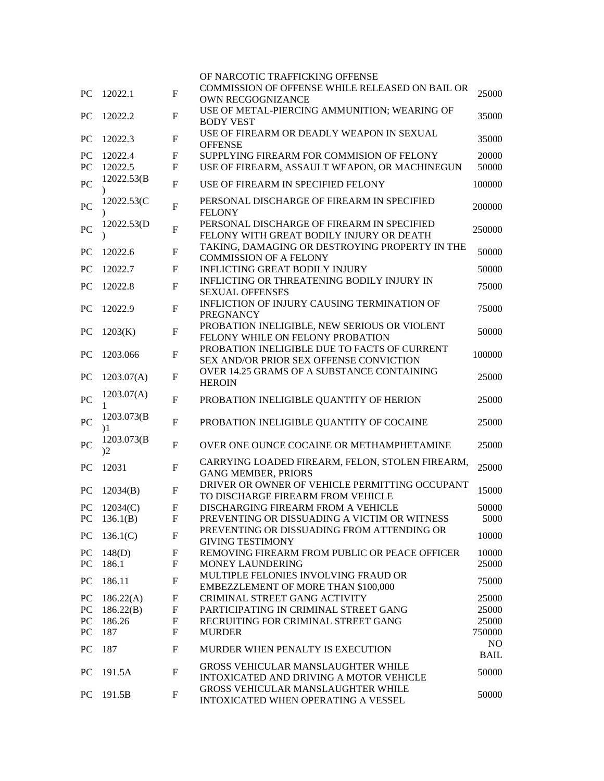|                  |                                         |                           | OF NARCOTIC TRAFFICKING OFFENSE                                                                        |             |
|------------------|-----------------------------------------|---------------------------|--------------------------------------------------------------------------------------------------------|-------------|
| <b>PC</b>        | 12022.1                                 | $\mathbf{F}$              | COMMISSION OF OFFENSE WHILE RELEASED ON BAIL OR<br>OWN RECGOGNIZANCE                                   | 25000       |
|                  |                                         |                           | USE OF METAL-PIERCING AMMUNITION; WEARING OF                                                           |             |
| <b>PC</b>        | 12022.2                                 | $\boldsymbol{\mathrm{F}}$ | <b>BODY VEST</b>                                                                                       | 35000       |
| <b>PC</b>        | 12022.3                                 | $\mathbf{F}$              | USE OF FIREARM OR DEADLY WEAPON IN SEXUAL<br><b>OFFENSE</b>                                            | 35000       |
| PC               | 12022.4                                 | F                         | SUPPLYING FIREARM FOR COMMISION OF FELONY                                                              | 20000       |
| PC               | 12022.5                                 | $\mathbf F$               | USE OF FIREARM, ASSAULT WEAPON, OR MACHINEGUN                                                          | 50000       |
| PC               | 12022.53(B                              | $\mathbf F$               | USE OF FIREARM IN SPECIFIED FELONY                                                                     | 100000      |
| PC               | 12022.53(C                              | $\boldsymbol{\mathrm{F}}$ | PERSONAL DISCHARGE OF FIREARM IN SPECIFIED<br><b>FELONY</b>                                            | 200000      |
| PC               | 12022.53 <sub>(D</sub>                  | F                         | PERSONAL DISCHARGE OF FIREARM IN SPECIFIED<br>FELONY WITH GREAT BODILY INJURY OR DEATH                 | 250000      |
| <b>PC</b>        | 12022.6                                 | F                         | TAKING, DAMAGING OR DESTROYING PROPERTY IN THE<br><b>COMMISSION OF A FELONY</b>                        | 50000       |
| <b>PC</b>        | 12022.7                                 | F                         | <b>INFLICTING GREAT BODILY INJURY</b>                                                                  | 50000       |
|                  |                                         |                           | <b>INFLICTING OR THREATENING BODILY INJURY IN</b>                                                      |             |
| <b>PC</b>        | 12022.8                                 | $\mathbf F$               | <b>SEXUAL OFFENSES</b>                                                                                 | 75000       |
| <b>PC</b>        | 12022.9                                 | $\mathbf F$               | INFLICTION OF INJURY CAUSING TERMINATION OF<br><b>PREGNANCY</b>                                        | 75000       |
| <b>PC</b>        | 1203(K)                                 | F                         | PROBATION INELIGIBLE, NEW SERIOUS OR VIOLENT<br>FELONY WHILE ON FELONY PROBATION                       | 50000       |
| <b>PC</b>        | 1203.066                                | F                         | PROBATION INELIGIBLE DUE TO FACTS OF CURRENT                                                           | 100000      |
| <b>PC</b>        | 1203.07(A)                              | F                         | SEX AND/OR PRIOR SEX OFFENSE CONVICTION<br>OVER 14.25 GRAMS OF A SUBSTANCE CONTAINING<br><b>HEROIN</b> | 25000       |
|                  | 1203.07(A)                              |                           |                                                                                                        |             |
| PC               | 1                                       | $\mathbf F$               | PROBATION INELIGIBLE QUANTITY OF HERION                                                                | 25000       |
| PC               | 1203.073(B)<br>$\overline{\phantom{1}}$ | F                         | PROBATION INELIGIBLE QUANTITY OF COCAINE                                                               | 25000       |
| PC               | 1203.073(B)<br>$2^{\circ}$              | $\mathbf F$               | OVER ONE OUNCE COCAINE OR METHAMPHETAMINE                                                              | 25000       |
| PС               | 12031                                   | F                         | CARRYING LOADED FIREARM, FELON, STOLEN FIREARM,<br><b>GANG MEMBER, PRIORS</b>                          | 25000       |
| <b>PC</b>        | 12034(B)                                | F                         | DRIVER OR OWNER OF VEHICLE PERMITTING OCCUPANT                                                         | 15000       |
|                  |                                         |                           | TO DISCHARGE FIREARM FROM VEHICLE                                                                      |             |
| <b>PC</b>        | 12034(C)                                | F                         | DISCHARGING FIREARM FROM A VEHICLE                                                                     | 50000       |
| PC               | 136.1(B)                                | F                         | PREVENTING OR DISSUADING A VICTIM OR WITNESS                                                           | 5000        |
| ${\rm P}{\bf C}$ | 136.1(C)                                | $\boldsymbol{\mathrm{F}}$ | PREVENTING OR DISSUADING FROM ATTENDING OR<br><b>GIVING TESTIMONY</b>                                  | 10000       |
| ${\rm P}{\bf C}$ | 148(D)                                  | F                         | REMOVING FIREARM FROM PUBLIC OR PEACE OFFICER                                                          | 10000       |
| PC               | 186.1                                   | $\mathbf{F}$              | <b>MONEY LAUNDERING</b>                                                                                | 25000       |
| PC               | 186.11                                  | F                         | MULTIPLE FELONIES INVOLVING FRAUD OR<br><b>EMBEZZLEMENT OF MORE THAN \$100,000</b>                     | 75000       |
| PC               | 186.22(A)                               | F                         | CRIMINAL STREET GANG ACTIVITY                                                                          | 25000       |
| PC               | 186.22(B)                               | $\mathbf F$               | PARTICIPATING IN CRIMINAL STREET GANG                                                                  | 25000       |
| PC               | 186.26                                  | $\boldsymbol{\mathrm{F}}$ | RECRUITING FOR CRIMINAL STREET GANG                                                                    | 25000       |
| PC               | 187                                     | F                         | <b>MURDER</b>                                                                                          | 750000      |
|                  |                                         |                           |                                                                                                        | NO.         |
| PC               | 187                                     | F                         | MURDER WHEN PENALTY IS EXECUTION                                                                       | <b>BAIL</b> |
| PC               | 191.5A                                  | F                         | <b>GROSS VEHICULAR MANSLAUGHTER WHILE</b>                                                              | 50000       |
|                  |                                         |                           | INTOXICATED AND DRIVING A MOTOR VEHICLE                                                                |             |
| PC               | 191.5B                                  | F                         | GROSS VEHICULAR MANSLAUGHTER WHILE<br>INTOXICATED WHEN OPERATING A VESSEL                              | 50000       |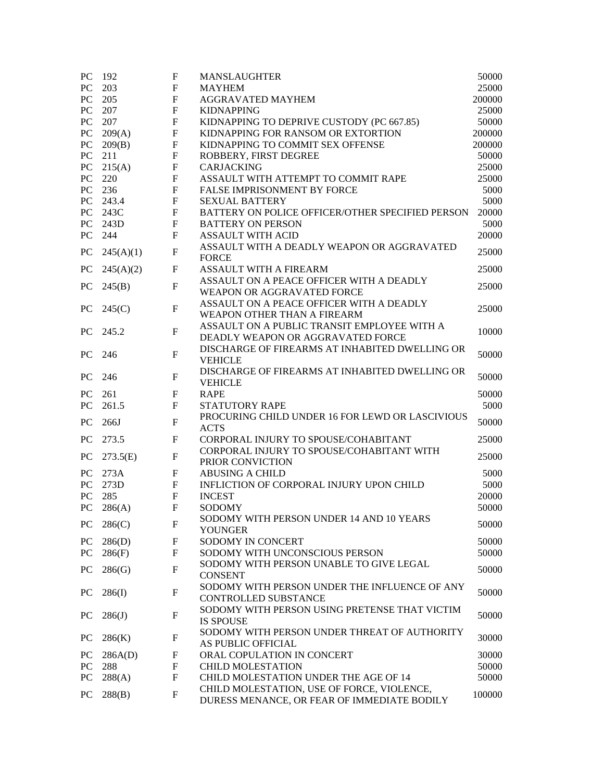| PC               | 192       | F                         | <b>MANSLAUGHTER</b>                              | 50000  |
|------------------|-----------|---------------------------|--------------------------------------------------|--------|
| PC               | 203       | $\boldsymbol{\mathrm{F}}$ | <b>MAYHEM</b>                                    | 25000  |
| PC               | 205       | F                         | <b>AGGRAVATED MAYHEM</b>                         | 200000 |
| ${\bf P}{\bf C}$ | 207       | F                         | <b>KIDNAPPING</b>                                | 25000  |
| PC               | 207       | $\mathbf{F}$              | KIDNAPPING TO DEPRIVE CUSTODY (PC 667.85)        | 50000  |
| PC               | 209(A)    | $\boldsymbol{\mathrm{F}}$ | KIDNAPPING FOR RANSOM OR EXTORTION               | 200000 |
| PC               | 209(B)    | $\boldsymbol{\mathrm{F}}$ | KIDNAPPING TO COMMIT SEX OFFENSE                 | 200000 |
| ${\rm P}{\bf C}$ | 211       | $\boldsymbol{\mathrm{F}}$ | ROBBERY, FIRST DEGREE                            | 50000  |
| PC               | 215(A)    | $\boldsymbol{\mathrm{F}}$ | CARJACKING                                       | 25000  |
| PC               | 220       | $\mathbf F$               | ASSAULT WITH ATTEMPT TO COMMIT RAPE              | 25000  |
| PC               | 236       | $\mathbf F$               | <b>FALSE IMPRISONMENT BY FORCE</b>               | 5000   |
| ${\rm P}{\bf C}$ | 243.4     | $\boldsymbol{\mathrm{F}}$ | <b>SEXUAL BATTERY</b>                            | 5000   |
| ${\rm P}{\bf C}$ | 243C      | $\boldsymbol{\mathrm{F}}$ | BATTERY ON POLICE OFFICER/OTHER SPECIFIED PERSON | 20000  |
| ${\rm P}{\bf C}$ | 243D      | $\mathbf{F}$              | <b>BATTERY ON PERSON</b>                         | 5000   |
| PC               | 244       | $\mathbf{F}$              | <b>ASSAULT WITH ACID</b>                         | 20000  |
|                  |           |                           |                                                  |        |
| PC               | 245(A)(1) | $\mathbf{F}$              | ASSAULT WITH A DEADLY WEAPON OR AGGRAVATED       | 25000  |
|                  |           |                           | <b>FORCE</b>                                     |        |
| <b>PC</b>        | 245(A)(2) | $\mathbf F$               | <b>ASSAULT WITH A FIREARM</b>                    | 25000  |
| <b>PC</b>        | 245(B)    | $\mathbf{F}$              | ASSAULT ON A PEACE OFFICER WITH A DEADLY         | 25000  |
|                  |           |                           | WEAPON OR AGGRAVATED FORCE                       |        |
| <b>PC</b>        | 245(C)    | $\mathbf{F}$              | ASSAULT ON A PEACE OFFICER WITH A DEADLY         | 25000  |
|                  |           |                           | WEAPON OTHER THAN A FIREARM                      |        |
| <b>PC</b>        | 245.2     | $\mathbf{F}$              | ASSAULT ON A PUBLIC TRANSIT EMPLOYEE WITH A      | 10000  |
|                  |           |                           | DEADLY WEAPON OR AGGRAVATED FORCE                |        |
| PC               | 246       | $\mathbf{F}$              | DISCHARGE OF FIREARMS AT INHABITED DWELLING OR   | 50000  |
|                  |           |                           | <b>VEHICLE</b>                                   |        |
|                  |           |                           | DISCHARGE OF FIREARMS AT INHABITED DWELLING OR   |        |
| <b>PC</b>        | 246       | $\mathbf F$               | <b>VEHICLE</b>                                   | 50000  |
| PC               | 261       | $\mathbf F$               | <b>RAPE</b>                                      | 50000  |
| PC               | 261.5     | F                         | <b>STATUTORY RAPE</b>                            | 5000   |
|                  |           |                           | PROCURING CHILD UNDER 16 FOR LEWD OR LASCIVIOUS  |        |
| PC               | 266J      | $\mathbf{F}$              | <b>ACTS</b>                                      | 50000  |
| PC               | 273.5     | $\mathbf F$               | CORPORAL INJURY TO SPOUSE/COHABITANT             | 25000  |
|                  |           |                           | CORPORAL INJURY TO SPOUSE/COHABITANT WITH        |        |
| <b>PC</b>        | 273.5(E)  | $\mathbf F$               | PRIOR CONVICTION                                 | 25000  |
| <b>PC</b>        | 273A      | F                         | <b>ABUSING A CHILD</b>                           | 5000   |
| PC               | 273D      | $\boldsymbol{\mathrm{F}}$ | INFLICTION OF CORPORAL INJURY UPON CHILD         | 5000   |
| PC               | 285       | $\mathbf{F}$              | <b>INCEST</b>                                    | 20000  |
| PC               | 286(A)    | F                         | <b>SODOMY</b>                                    | 50000  |
|                  |           |                           | SODOMY WITH PERSON UNDER 14 AND 10 YEARS         |        |
| PC               | 286(C)    | F                         |                                                  | 50000  |
|                  |           |                           | <b>YOUNGER</b>                                   |        |
| PC               | 286(D)    | F                         | SODOMY IN CONCERT                                | 50000  |
| PC               | 286(F)    | $\mathbf F$               | SODOMY WITH UNCONSCIOUS PERSON                   | 50000  |
| PC               | 286(G)    | $\mathbf{F}$              | SODOMY WITH PERSON UNABLE TO GIVE LEGAL          | 50000  |
|                  |           |                           | <b>CONSENT</b>                                   |        |
| PC               | 286(I)    | $\mathbf F$               | SODOMY WITH PERSON UNDER THE INFLUENCE OF ANY    | 50000  |
|                  |           |                           | CONTROLLED SUBSTANCE                             |        |
| PC               | 286(J)    | F                         | SODOMY WITH PERSON USING PRETENSE THAT VICTIM    | 50000  |
|                  |           |                           | <b>IS SPOUSE</b>                                 |        |
|                  |           | F                         | SODOMY WITH PERSON UNDER THREAT OF AUTHORITY     | 30000  |
| PC               | 286(K)    |                           | AS PUBLIC OFFICIAL                               |        |
| <b>PC</b>        | 286A(D)   | F                         | ORAL COPULATION IN CONCERT                       | 30000  |
| PC               | 288       | $\mathbf F$               | <b>CHILD MOLESTATION</b>                         | 50000  |
| PC               | 288(A)    | F                         | CHILD MOLESTATION UNDER THE AGE OF 14            | 50000  |
|                  |           |                           | CHILD MOLESTATION, USE OF FORCE, VIOLENCE,       |        |
| PC               | 288(B)    | $\mathbf{F}$              | DURESS MENANCE, OR FEAR OF IMMEDIATE BODILY      | 100000 |
|                  |           |                           |                                                  |        |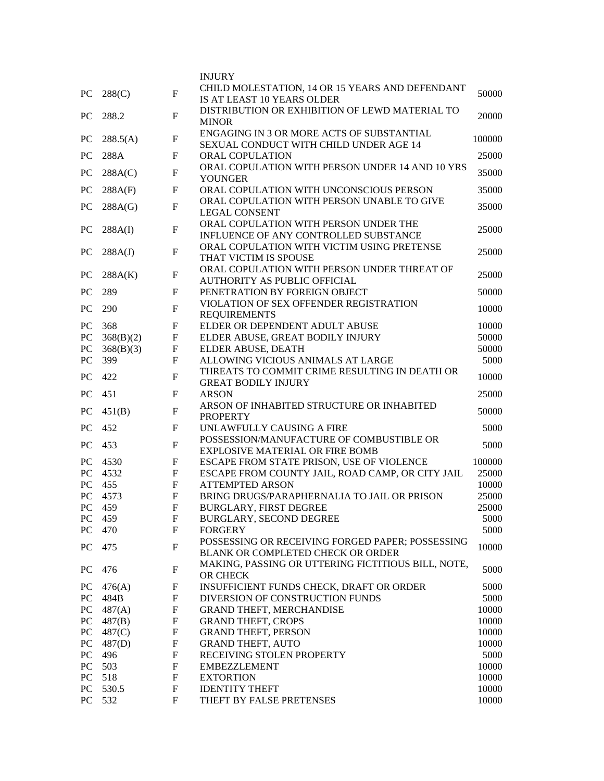|                  |                  |                           | <b>INJURY</b>                                                      |        |
|------------------|------------------|---------------------------|--------------------------------------------------------------------|--------|
|                  |                  |                           | CHILD MOLESTATION, 14 OR 15 YEARS AND DEFENDANT                    |        |
| <b>PC</b>        | 288(C)           | $\overline{F}$            | IS AT LEAST 10 YEARS OLDER                                         | 50000  |
|                  |                  |                           | DISTRIBUTION OR EXHIBITION OF LEWD MATERIAL TO                     |        |
| <b>PC</b>        | 288.2            | $\mathbf{F}$              | <b>MINOR</b>                                                       | 20000  |
|                  |                  |                           | ENGAGING IN 3 OR MORE ACTS OF SUBSTANTIAL                          |        |
| <b>PC</b>        | 288.5(A)         | $\mathbf F$               | SEXUAL CONDUCT WITH CHILD UNDER AGE 14                             | 100000 |
| PC               | 288A             | F                         | <b>ORAL COPULATION</b>                                             | 25000  |
| <b>PC</b>        |                  | F                         | ORAL COPULATION WITH PERSON UNDER 14 AND 10 YRS                    | 35000  |
|                  | 288A(C)          |                           | <b>YOUNGER</b>                                                     |        |
| <b>PC</b>        | 288A(F)          | F                         | ORAL COPULATION WITH UNCONSCIOUS PERSON                            | 35000  |
| <b>PC</b>        | 288A(G)          | F                         | ORAL COPULATION WITH PERSON UNABLE TO GIVE                         | 35000  |
|                  |                  |                           | <b>LEGAL CONSENT</b>                                               |        |
| <b>PC</b>        | 288A(I)          | $\mathbf F$               | ORAL COPULATION WITH PERSON UNDER THE                              | 25000  |
|                  |                  |                           | INFLUENCE OF ANY CONTROLLED SUBSTANCE                              |        |
| <b>PC</b>        | 288A(J)          | $\mathbf F$               | ORAL COPULATION WITH VICTIM USING PRETENSE                         | 25000  |
|                  |                  |                           | THAT VICTIM IS SPOUSE                                              |        |
| <b>PC</b>        | 288A(K)          | F                         | ORAL COPULATION WITH PERSON UNDER THREAT OF                        | 25000  |
|                  |                  |                           | AUTHORITY AS PUBLIC OFFICIAL                                       |        |
| PC               | 289              | $\boldsymbol{\mathrm{F}}$ | PENETRATION BY FOREIGN OBJECT                                      | 50000  |
| PC               | 290              | F                         | VIOLATION OF SEX OFFENDER REGISTRATION                             | 10000  |
|                  |                  |                           | <b>REQUIREMENTS</b>                                                | 10000  |
| <b>PC</b><br>PC  | 368<br>368(B)(2) | F<br>F                    | ELDER OR DEPENDENT ADULT ABUSE<br>ELDER ABUSE, GREAT BODILY INJURY | 50000  |
| ${\rm P}{\bf C}$ | 368(B)(3)        | F                         | ELDER ABUSE, DEATH                                                 | 50000  |
| PC               | 399              | $\mathbf{F}$              | ALLOWING VICIOUS ANIMALS AT LARGE                                  | 5000   |
|                  |                  |                           | THREATS TO COMMIT CRIME RESULTING IN DEATH OR                      |        |
| <b>PC</b>        | 422              | $\mathbf F$               | <b>GREAT BODILY INJURY</b>                                         | 10000  |
| <b>PC</b>        | 451              | F                         | <b>ARSON</b>                                                       | 25000  |
|                  |                  |                           | ARSON OF INHABITED STRUCTURE OR INHABITED                          |        |
| PC               | 451(B)           | $\mathbf F$               | <b>PROPERTY</b>                                                    | 50000  |
| PC               | 452              | F                         | UNLAWFULLY CAUSING A FIRE                                          | 5000   |
|                  |                  |                           | POSSESSION/MANUFACTURE OF COMBUSTIBLE OR                           |        |
| <b>PC</b>        | 453              | F                         | EXPLOSIVE MATERIAL OR FIRE BOMB                                    | 5000   |
| <b>PC</b>        | 4530             | $\mathbf F$               | ESCAPE FROM STATE PRISON, USE OF VIOLENCE                          | 100000 |
| PC               | 4532             | F                         | ESCAPE FROM COUNTY JAIL, ROAD CAMP, OR CITY JAIL                   | 25000  |
| PC               | 455              | F                         | <b>ATTEMPTED ARSON</b>                                             | 10000  |
| PC               | 4573             | $\mathbf F$               | BRING DRUGS/PARAPHERNALIA TO JAIL OR PRISON                        | 25000  |
| PC               | 459              | F                         | <b>BURGLARY, FIRST DEGREE</b>                                      | 25000  |
| PC               | 459              | F                         | BURGLARY, SECOND DEGREE                                            | 5000   |
| PC               | 470              | $\mathbf F$               | <b>FORGERY</b>                                                     | 5000   |
| PC               | 475              | $\mathbf F$               | POSSESSING OR RECEIVING FORGED PAPER; POSSESSING                   | 10000  |
|                  |                  |                           | BLANK OR COMPLETED CHECK OR ORDER                                  |        |
| PC               | 476              | F                         | MAKING, PASSING OR UTTERING FICTITIOUS BILL, NOTE,                 | 5000   |
|                  |                  |                           | OR CHECK                                                           |        |
| PC               | 476(A)           | F                         | INSUFFICIENT FUNDS CHECK, DRAFT OR ORDER                           | 5000   |
| PC               | 484B             | $\mathbf F$               | DIVERSION OF CONSTRUCTION FUNDS                                    | 5000   |
| PC               | 487(A)           | F                         | GRAND THEFT, MERCHANDISE                                           | 10000  |
| PC               | 487(B)           | F                         | <b>GRAND THEFT, CROPS</b>                                          | 10000  |
| ${\rm P}{\bf C}$ | 487(C)           | F                         | <b>GRAND THEFT, PERSON</b>                                         | 10000  |
| PC               | 487(D)           | $\mathbf F$               | <b>GRAND THEFT, AUTO</b>                                           | 10000  |
| PC               | 496              | $\mathbf F$               | RECEIVING STOLEN PROPERTY                                          | 5000   |
| PC               | 503              | F                         | <b>EMBEZZLEMENT</b>                                                | 10000  |
| PC               | 518              | F                         | <b>EXTORTION</b>                                                   | 10000  |
| PC               | 530.5            | F                         | <b>IDENTITY THEFT</b>                                              | 10000  |
| PC               | 532              | $\boldsymbol{\mathrm{F}}$ | THEFT BY FALSE PRETENSES                                           | 10000  |